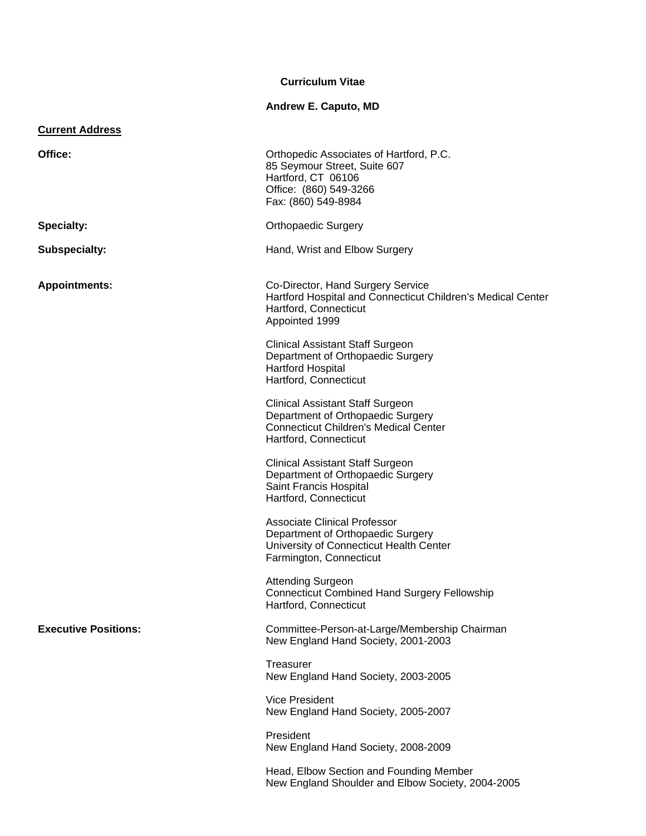# **Curriculum Vitae**

# **Andrew E. Caputo, MD**

| <b>Current Address</b>      |                                                                                                                                                       |
|-----------------------------|-------------------------------------------------------------------------------------------------------------------------------------------------------|
| Office:                     | Orthopedic Associates of Hartford, P.C.<br>85 Seymour Street, Suite 607<br>Hartford, CT 06106<br>Office: (860) 549-3266<br>Fax: (860) 549-8984        |
| <b>Specialty:</b>           | <b>Orthopaedic Surgery</b>                                                                                                                            |
| <b>Subspecialty:</b>        | Hand, Wrist and Elbow Surgery                                                                                                                         |
| <b>Appointments:</b>        | Co-Director, Hand Surgery Service<br>Hartford Hospital and Connecticut Children's Medical Center<br>Hartford, Connecticut<br>Appointed 1999           |
|                             | <b>Clinical Assistant Staff Surgeon</b><br>Department of Orthopaedic Surgery<br><b>Hartford Hospital</b><br>Hartford, Connecticut                     |
|                             | <b>Clinical Assistant Staff Surgeon</b><br>Department of Orthopaedic Surgery<br><b>Connecticut Children's Medical Center</b><br>Hartford, Connecticut |
|                             | <b>Clinical Assistant Staff Surgeon</b><br>Department of Orthopaedic Surgery<br>Saint Francis Hospital<br>Hartford, Connecticut                       |
|                             | <b>Associate Clinical Professor</b><br>Department of Orthopaedic Surgery<br>University of Connecticut Health Center<br>Farmington, Connecticut        |
|                             | <b>Attending Surgeon</b><br><b>Connecticut Combined Hand Surgery Fellowship</b><br>Hartford, Connecticut                                              |
| <b>Executive Positions:</b> | Committee-Person-at-Large/Membership Chairman<br>New England Hand Society, 2001-2003                                                                  |
|                             | Treasurer<br>New England Hand Society, 2003-2005                                                                                                      |
|                             | <b>Vice President</b><br>New England Hand Society, 2005-2007                                                                                          |
|                             | President<br>New England Hand Society, 2008-2009                                                                                                      |
|                             | Head, Elbow Section and Founding Member<br>New England Shoulder and Elbow Society, 2004-2005                                                          |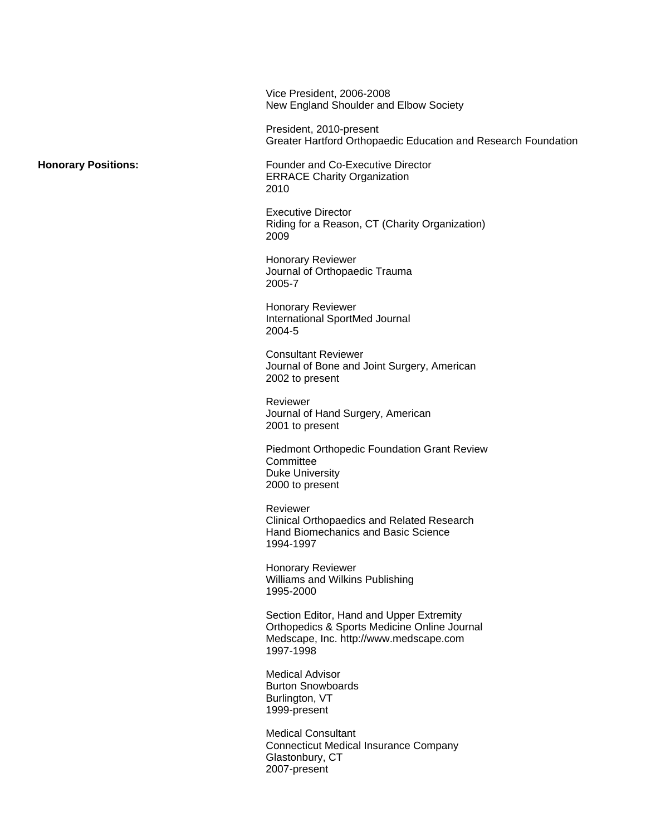Vice President, 2006-2008 New England Shoulder and Elbow Society

 President, 2010-present Greater Hartford Orthopaedic Education and Research Foundation

**Honorary Positions:** Founder and Co-Executive Director ERRACE Charity Organization <u>2010</u>

Executive Director Riding for a Reason, CT (Charity Organization) <u>2009 - 2009 - 2009 - 2009 - 2009 - 2009 - 2009 - 2009 - 2009 - 2009 - 2009 - 2009 - 2009 - 2009 - 2009 - 2009 </u>

> Honorary Reviewer Journal of Orthopaedic Trauma 2005-7

> Honorary Reviewer International SportMed Journal 2004-5

Consultant Reviewer Journal of Bone and Joint Surgery, American 2002 to present

Reviewer Journal of Hand Surgery, American 2001 to present

Piedmont Orthopedic Foundation Grant Review **Committee** Duke University 2000 to present

Reviewer Clinical Orthopaedics and Related Research Hand Biomechanics and Basic Science 1994-1997

 Honorary Reviewer Williams and Wilkins Publishing 1995-2000

 Section Editor, Hand and Upper Extremity Orthopedics & Sports Medicine Online Journal Medscape, Inc. http://www.medscape.com 1997-1998

 Medical Advisor Burton Snowboards Burlington, VT 1999-present

 Medical Consultant Connecticut Medical Insurance Company Glastonbury, CT 2007-present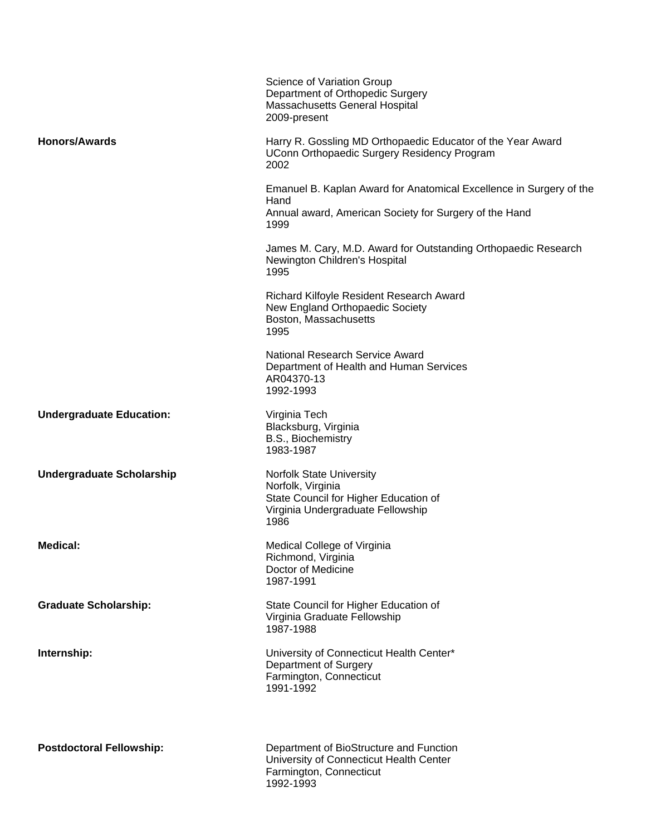|                                  | Science of Variation Group<br>Department of Orthopedic Surgery<br>Massachusetts General Hospital<br>2009-present                              |
|----------------------------------|-----------------------------------------------------------------------------------------------------------------------------------------------|
| <b>Honors/Awards</b>             | Harry R. Gossling MD Orthopaedic Educator of the Year Award<br>UConn Orthopaedic Surgery Residency Program<br>2002                            |
|                                  | Emanuel B. Kaplan Award for Anatomical Excellence in Surgery of the<br>Hand<br>Annual award, American Society for Surgery of the Hand<br>1999 |
|                                  | James M. Cary, M.D. Award for Outstanding Orthopaedic Research<br>Newington Children's Hospital<br>1995                                       |
|                                  | Richard Kilfoyle Resident Research Award<br>New England Orthopaedic Society<br>Boston, Massachusetts<br>1995                                  |
|                                  | National Research Service Award<br>Department of Health and Human Services<br>AR04370-13<br>1992-1993                                         |
| <b>Undergraduate Education:</b>  | Virginia Tech<br>Blacksburg, Virginia<br>B.S., Biochemistry<br>1983-1987                                                                      |
| <b>Undergraduate Scholarship</b> | <b>Norfolk State University</b><br>Norfolk, Virginia<br>State Council for Higher Education of<br>Virginia Undergraduate Fellowship<br>1986    |
| Medical:                         | Medical College of Virginia<br>Richmond, Virginia<br>Doctor of Medicine<br>1987-1991                                                          |
| <b>Graduate Scholarship:</b>     | State Council for Higher Education of<br>Virginia Graduate Fellowship<br>1987-1988                                                            |
| Internship:                      | University of Connecticut Health Center*<br>Department of Surgery<br>Farmington, Connecticut<br>1991-1992                                     |
| <b>Postdoctoral Fellowship:</b>  | Department of BioStructure and Function<br>University of Connecticut Health Center<br>Farmington, Connecticut<br>1992-1993                    |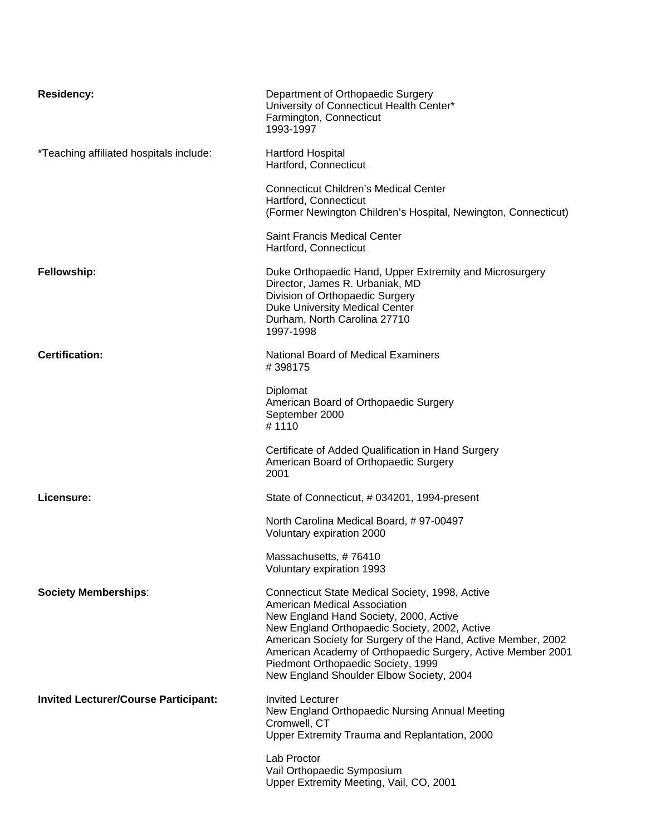| <b>Residency:</b>                           | Department of Orthopaedic Surgery<br>University of Connecticut Health Center*<br>Farmington, Connecticut<br>1993-1997                                                                                                                                                                                                                                                                               |
|---------------------------------------------|-----------------------------------------------------------------------------------------------------------------------------------------------------------------------------------------------------------------------------------------------------------------------------------------------------------------------------------------------------------------------------------------------------|
| *Teaching affiliated hospitals include:     | <b>Hartford Hospital</b><br>Hartford, Connecticut                                                                                                                                                                                                                                                                                                                                                   |
|                                             | <b>Connecticut Children's Medical Center</b><br>Hartford, Connecticut<br>(Former Newington Children's Hospital, Newington, Connecticut)                                                                                                                                                                                                                                                             |
|                                             | <b>Saint Francis Medical Center</b><br>Hartford, Connecticut                                                                                                                                                                                                                                                                                                                                        |
| Fellowship:                                 | Duke Orthopaedic Hand, Upper Extremity and Microsurgery<br>Director, James R. Urbaniak, MD<br>Division of Orthopaedic Surgery<br>Duke University Medical Center<br>Durham, North Carolina 27710<br>1997-1998                                                                                                                                                                                        |
| <b>Certification:</b>                       | <b>National Board of Medical Examiners</b><br>#398175                                                                                                                                                                                                                                                                                                                                               |
|                                             | Diplomat<br>American Board of Orthopaedic Surgery<br>September 2000<br>#1110                                                                                                                                                                                                                                                                                                                        |
|                                             | Certificate of Added Qualification in Hand Surgery<br>American Board of Orthopaedic Surgery<br>2001                                                                                                                                                                                                                                                                                                 |
| Licensure:                                  | State of Connecticut, # 034201, 1994-present                                                                                                                                                                                                                                                                                                                                                        |
|                                             | North Carolina Medical Board, #97-00497<br>Voluntary expiration 2000                                                                                                                                                                                                                                                                                                                                |
|                                             | Massachusetts, #76410<br>Voluntary expiration 1993                                                                                                                                                                                                                                                                                                                                                  |
| <b>Society Memberships:</b>                 | Connecticut State Medical Society, 1998, Active<br><b>American Medical Association</b><br>New England Hand Society, 2000, Active<br>New England Orthopaedic Society, 2002, Active<br>American Society for Surgery of the Hand, Active Member, 2002<br>American Academy of Orthopaedic Surgery, Active Member 2001<br>Piedmont Orthopaedic Society, 1999<br>New England Shoulder Elbow Society, 2004 |
| <b>Invited Lecturer/Course Participant:</b> | <b>Invited Lecturer</b><br>New England Orthopaedic Nursing Annual Meeting<br>Cromwell, CT<br>Upper Extremity Trauma and Replantation, 2000                                                                                                                                                                                                                                                          |
|                                             | Lab Proctor<br>Vail Orthopaedic Symposium<br>Upper Extremity Meeting, Vail, CO, 2001                                                                                                                                                                                                                                                                                                                |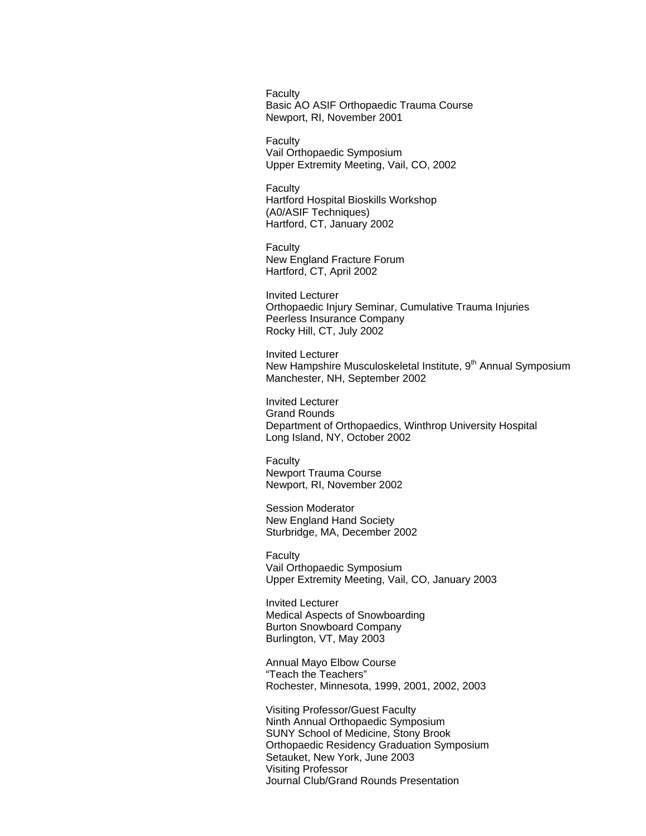**Faculty** Basic AO ASIF Orthopaedic Trauma Course Newport, RI, November 2001

**Faculty** Vail Orthopaedic Symposium Upper Extremity Meeting, Vail, CO, 2002

Faculty Hartford Hospital Bioskills Workshop (A0/ASIF Techniques) Hartford, CT, January 2002

**Faculty** New England Fracture Forum Hartford, CT, April 2002

Invited Lecturer Orthopaedic Injury Seminar, Cumulative Trauma Injuries Peerless Insurance Company Rocky Hill, CT, July 2002

Invited Lecturer New Hampshire Musculoskeletal Institute, 9<sup>th</sup> Annual Symposium Manchester, NH, September 2002

Invited Lecturer Grand Rounds Department of Orthopaedics, Winthrop University Hospital Long Island, NY, October 2002

**Faculty** Newport Trauma Course Newport, RI, November 2002

Session Moderator New England Hand Society Sturbridge, MA, December 2002

Faculty Vail Orthopaedic Symposium Upper Extremity Meeting, Vail, CO, January 2003

 Invited Lecturer Medical Aspects of Snowboarding Burton Snowboard Company Burlington, VT, May 2003

 Annual Mayo Elbow Course "Teach the Teachers" Rochester, Minnesota, 1999, 2001, 2002, 2003

 Visiting Professor/Guest Faculty Ninth Annual Orthopaedic Symposium SUNY School of Medicine, Stony Brook Orthopaedic Residency Graduation Symposium Setauket, New York, June 2003 Visiting Professor Journal Club/Grand Rounds Presentation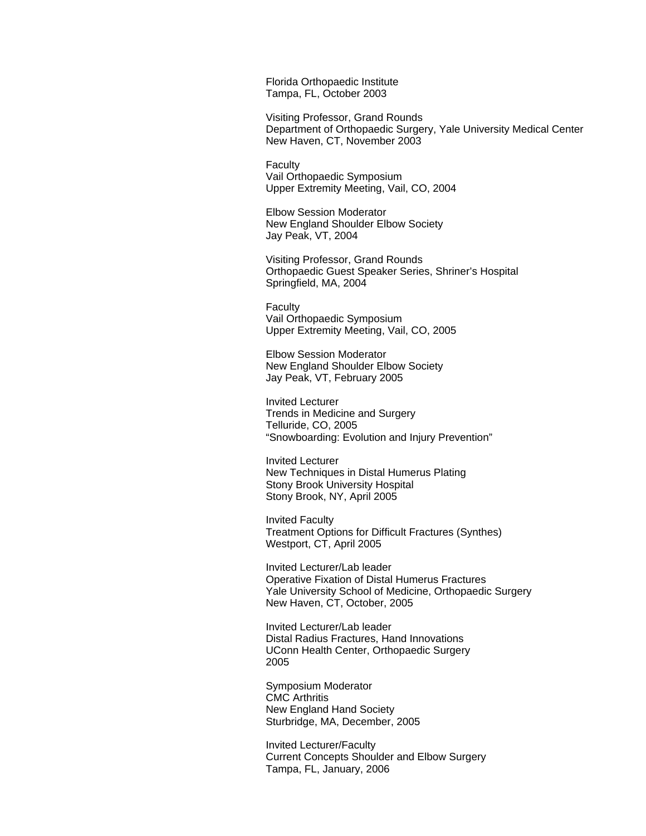Florida Orthopaedic Institute Tampa, FL, October 2003

 Visiting Professor, Grand Rounds Department of Orthopaedic Surgery, Yale University Medical Center New Haven, CT, November 2003

Faculty Vail Orthopaedic Symposium Upper Extremity Meeting, Vail, CO, 2004

 Elbow Session Moderator New England Shoulder Elbow Society Jay Peak, VT, 2004

Visiting Professor, Grand Rounds Orthopaedic Guest Speaker Series, Shriner's Hospital Springfield, MA, 2004

**Faculty** Vail Orthopaedic Symposium Upper Extremity Meeting, Vail, CO, 2005

 Elbow Session Moderator New England Shoulder Elbow Society Jay Peak, VT, February 2005

 Invited Lecturer Trends in Medicine and Surgery Telluride, CO, 2005 "Snowboarding: Evolution and Injury Prevention"

Invited Lecturer New Techniques in Distal Humerus Plating Stony Brook University Hospital Stony Brook, NY, April 2005

Invited Faculty Treatment Options for Difficult Fractures (Synthes) Westport, CT, April 2005

Invited Lecturer/Lab leader Operative Fixation of Distal Humerus Fractures Yale University School of Medicine, Orthopaedic Surgery New Haven, CT, October, 2005

Invited Lecturer/Lab leader Distal Radius Fractures, Hand Innovations UConn Health Center, Orthopaedic Surgery <u>2005 - 2005 - 2006 - 2007 - 2008 - 2009 - 2009 - 2009 - 2009 - 2009 - 2009 - 2009 - 2009 - 2009 - 2009 - 200</u>

> Symposium Moderator CMC Arthritis New England Hand Society Sturbridge, MA, December, 2005

 Invited Lecturer/Faculty Current Concepts Shoulder and Elbow Surgery Tampa, FL, January, 2006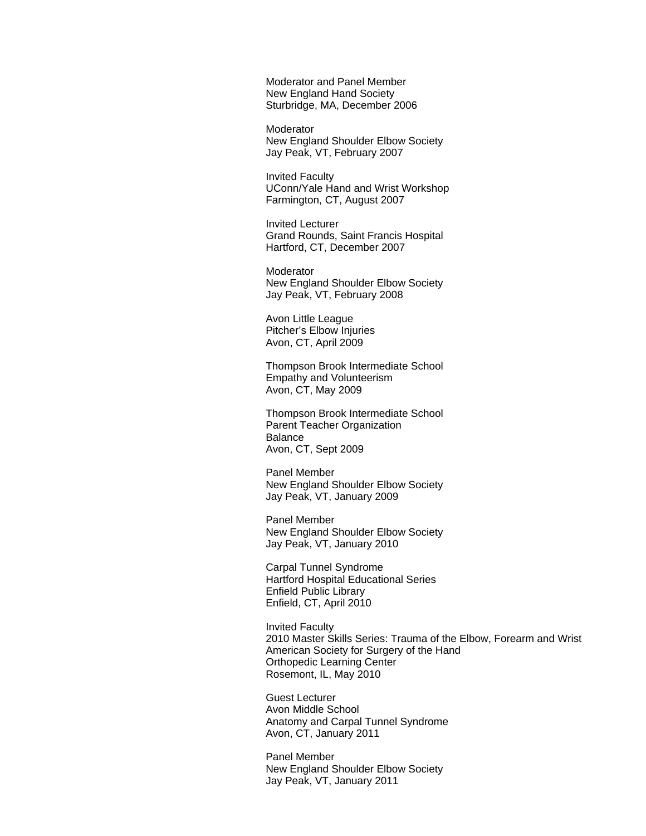Moderator and Panel Member New England Hand Society Sturbridge, MA, December 2006

**Moderator**  New England Shoulder Elbow Society Jay Peak, VT, February 2007

 Invited Faculty UConn/Yale Hand and Wrist Workshop Farmington, CT, August 2007

 Invited Lecturer Grand Rounds, Saint Francis Hospital Hartford, CT, December 2007

 Moderator New England Shoulder Elbow Society Jay Peak, VT, February 2008

 Avon Little League Pitcher's Elbow Injuries Avon, CT, April 2009

 Thompson Brook Intermediate School Empathy and Volunteerism Avon, CT, May 2009

 Thompson Brook Intermediate School Parent Teacher Organization Balance Avon, CT, Sept 2009

 Panel Member New England Shoulder Elbow Society Jay Peak, VT, January 2009

 Panel Member New England Shoulder Elbow Society Jay Peak, VT, January 2010

 Carpal Tunnel Syndrome Hartford Hospital Educational Series Enfield Public Library Enfield, CT, April 2010

 Invited Faculty 2010 Master Skills Series: Trauma of the Elbow, Forearm and Wrist American Society for Surgery of the Hand Orthopedic Learning Center Rosemont, IL, May 2010

 Guest Lecturer Avon Middle School Anatomy and Carpal Tunnel Syndrome Avon, CT, January 2011

 Panel Member New England Shoulder Elbow Society Jay Peak, VT, January 2011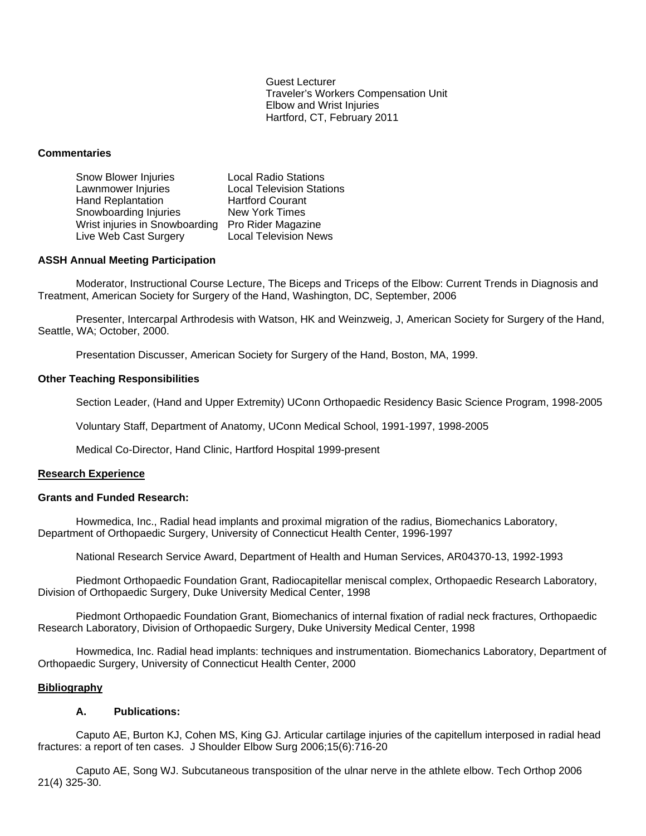Guest Lecturer Traveler's Workers Compensation Unit Elbow and Wrist Injuries Hartford, CT, February 2011

# **Commentaries**

| Snow Blower Injuries           | <b>Local Radio Stations</b>      |
|--------------------------------|----------------------------------|
| Lawnmower Injuries             | <b>Local Television Stations</b> |
| <b>Hand Replantation</b>       | <b>Hartford Courant</b>          |
| Snowboarding Injuries          | New York Times                   |
| Wrist injuries in Snowboarding | Pro Rider Magazine               |
| Live Web Cast Surgery          | <b>Local Television News</b>     |

## **ASSH Annual Meeting Participation**

Moderator, Instructional Course Lecture, The Biceps and Triceps of the Elbow: Current Trends in Diagnosis and Treatment, American Society for Surgery of the Hand, Washington, DC, September, 2006

 Presenter, Intercarpal Arthrodesis with Watson, HK and Weinzweig, J, American Society for Surgery of the Hand, Seattle, WA; October, 2000.

Presentation Discusser, American Society for Surgery of the Hand, Boston, MA, 1999.

### **Other Teaching Responsibilities**

Section Leader, (Hand and Upper Extremity) UConn Orthopaedic Residency Basic Science Program, 1998-2005

Voluntary Staff, Department of Anatomy, UConn Medical School, 1991-1997, 1998-2005

Medical Co-Director, Hand Clinic, Hartford Hospital 1999-present

# **Research Experience**

#### **Grants and Funded Research:**

 Howmedica, Inc., Radial head implants and proximal migration of the radius, Biomechanics Laboratory, Department of Orthopaedic Surgery, University of Connecticut Health Center, 1996-1997

National Research Service Award, Department of Health and Human Services, AR04370-13, 1992-1993

 Piedmont Orthopaedic Foundation Grant, Radiocapitellar meniscal complex, Orthopaedic Research Laboratory, Division of Orthopaedic Surgery, Duke University Medical Center, 1998

 Piedmont Orthopaedic Foundation Grant, Biomechanics of internal fixation of radial neck fractures, Orthopaedic Research Laboratory, Division of Orthopaedic Surgery, Duke University Medical Center, 1998

 Howmedica, Inc. Radial head implants: techniques and instrumentation. Biomechanics Laboratory, Department of Orthopaedic Surgery, University of Connecticut Health Center, 2000

# **Bibliography**

# **A. Publications:**

Caputo AE, Burton KJ, Cohen MS, King GJ. Articular cartilage injuries of the capitellum interposed in radial head fractures: a report of ten cases. J Shoulder Elbow Surg 2006;15(6):716-20

 Caputo AE, Song WJ. Subcutaneous transposition of the ulnar nerve in the athlete elbow. Tech Orthop 2006 21(4) 325-30.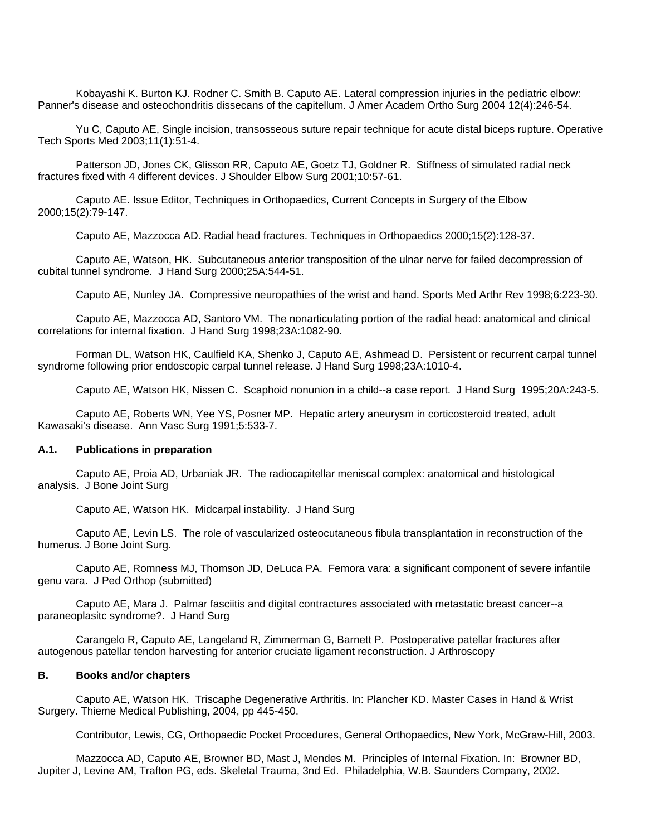Kobayashi K. Burton KJ. Rodner C. Smith B. Caputo AE. Lateral compression injuries in the pediatric elbow: Panner's disease and osteochondritis dissecans of the capitellum. J Amer Academ Ortho Surg 2004 12(4):246-54.

Yu C, Caputo AE, Single incision, transosseous suture repair technique for acute distal biceps rupture. Operative Tech Sports Med 2003;11(1):51-4.

 Patterson JD, Jones CK, Glisson RR, Caputo AE, Goetz TJ, Goldner R. Stiffness of simulated radial neck fractures fixed with 4 different devices. J Shoulder Elbow Surg 2001;10:57-61.

Caputo AE. Issue Editor, Techniques in Orthopaedics, Current Concepts in Surgery of the Elbow 2000;15(2):79-147.

Caputo AE, Mazzocca AD. Radial head fractures. Techniques in Orthopaedics 2000;15(2):128-37.

 Caputo AE, Watson, HK. Subcutaneous anterior transposition of the ulnar nerve for failed decompression of cubital tunnel syndrome. J Hand Surg 2000;25A:544-51.

Caputo AE, Nunley JA. Compressive neuropathies of the wrist and hand. Sports Med Arthr Rev 1998;6:223-30.

Caputo AE, Mazzocca AD, Santoro VM. The nonarticulating portion of the radial head: anatomical and clinical correlations for internal fixation. J Hand Surg 1998;23A:1082-90.

 Forman DL, Watson HK, Caulfield KA, Shenko J, Caputo AE, Ashmead D. Persistent or recurrent carpal tunnel syndrome following prior endoscopic carpal tunnel release. J Hand Surg 1998;23A:1010-4.

Caputo AE, Watson HK, Nissen C. Scaphoid nonunion in a child--a case report. J Hand Surg 1995;20A:243-5.

 Caputo AE, Roberts WN, Yee YS, Posner MP. Hepatic artery aneurysm in corticosteroid treated, adult Kawasaki's disease. Ann Vasc Surg 1991;5:533-7.

## **A.1. Publications in preparation**

Caputo AE, Proia AD, Urbaniak JR. The radiocapitellar meniscal complex: anatomical and histological analysis. J Bone Joint Surg

Caputo AE, Watson HK. Midcarpal instability. J Hand Surg

 Caputo AE, Levin LS. The role of vascularized osteocutaneous fibula transplantation in reconstruction of the humerus. J Bone Joint Surg.

 Caputo AE, Romness MJ, Thomson JD, DeLuca PA. Femora vara: a significant component of severe infantile genu vara. J Ped Orthop (submitted)

 Caputo AE, Mara J. Palmar fasciitis and digital contractures associated with metastatic breast cancer--a paraneoplasitc syndrome?. J Hand Surg

 Carangelo R, Caputo AE, Langeland R, Zimmerman G, Barnett P. Postoperative patellar fractures after autogenous patellar tendon harvesting for anterior cruciate ligament reconstruction. J Arthroscopy

### **B. Books and/or chapters**

Caputo AE, Watson HK. Triscaphe Degenerative Arthritis. In: Plancher KD. Master Cases in Hand & Wrist Surgery. Thieme Medical Publishing, 2004, pp 445-450.

Contributor, Lewis, CG, Orthopaedic Pocket Procedures, General Orthopaedics, New York, McGraw-Hill, 2003.

Mazzocca AD, Caputo AE, Browner BD, Mast J, Mendes M. Principles of Internal Fixation. In: Browner BD, Jupiter J, Levine AM, Trafton PG, eds. Skeletal Trauma, 3nd Ed. Philadelphia, W.B. Saunders Company, 2002.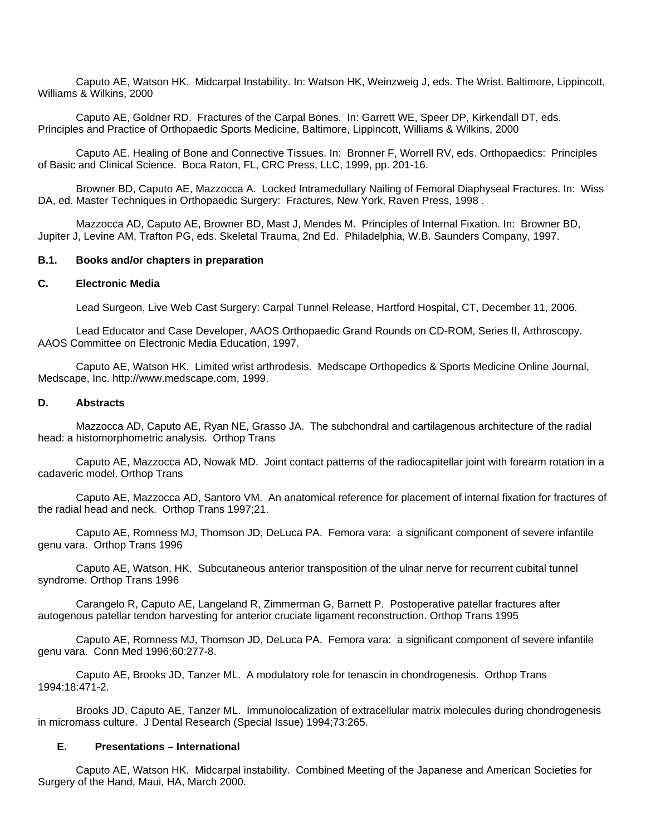Caputo AE, Watson HK. Midcarpal Instability. In: Watson HK, Weinzweig J, eds. The Wrist. Baltimore, Lippincott, Williams & Wilkins, 2000

 Caputo AE, Goldner RD. Fractures of the Carpal Bones. In: Garrett WE, Speer DP, Kirkendall DT, eds. Principles and Practice of Orthopaedic Sports Medicine, Baltimore, Lippincott, Williams & Wilkins, 2000

 Caputo AE. Healing of Bone and Connective Tissues. In: Bronner F, Worrell RV, eds. Orthopaedics: Principles of Basic and Clinical Science. Boca Raton, FL, CRC Press, LLC, 1999, pp. 201-16.

 Browner BD, Caputo AE, Mazzocca A. Locked Intramedullary Nailing of Femoral Diaphyseal Fractures. In: Wiss DA, ed. Master Techniques in Orthopaedic Surgery: Fractures, New York, Raven Press, 1998 .

Mazzocca AD, Caputo AE, Browner BD, Mast J, Mendes M. Principles of Internal Fixation. In: Browner BD, Jupiter J, Levine AM, Trafton PG, eds. Skeletal Trauma, 2nd Ed. Philadelphia, W.B. Saunders Company, 1997.

## **B.1. Books and/or chapters in preparation**

### **C. Electronic Media**

Lead Surgeon, Live Web Cast Surgery: Carpal Tunnel Release, Hartford Hospital, CT, December 11, 2006.

Lead Educator and Case Developer, AAOS Orthopaedic Grand Rounds on CD-ROM, Series II, Arthroscopy. AAOS Committee on Electronic Media Education, 1997.

 Caputo AE, Watson HK. Limited wrist arthrodesis. Medscape Orthopedics & Sports Medicine Online Journal, Medscape, Inc. http://www.medscape.com, 1999.

## **D. Abstracts**

Mazzocca AD, Caputo AE, Ryan NE, Grasso JA. The subchondral and cartilagenous architecture of the radial head: a histomorphometric analysis. Orthop Trans

 Caputo AE, Mazzocca AD, Nowak MD. Joint contact patterns of the radiocapitellar joint with forearm rotation in a cadaveric model. Orthop Trans

 Caputo AE, Mazzocca AD, Santoro VM. An anatomical reference for placement of internal fixation for fractures of the radial head and neck. Orthop Trans 1997;21.

 Caputo AE, Romness MJ, Thomson JD, DeLuca PA. Femora vara: a significant component of severe infantile genu vara. Orthop Trans 1996

 Caputo AE, Watson, HK. Subcutaneous anterior transposition of the ulnar nerve for recurrent cubital tunnel syndrome. Orthop Trans 1996

 Carangelo R, Caputo AE, Langeland R, Zimmerman G, Barnett P. Postoperative patellar fractures after autogenous patellar tendon harvesting for anterior cruciate ligament reconstruction. Orthop Trans 1995

 Caputo AE, Romness MJ, Thomson JD, DeLuca PA. Femora vara: a significant component of severe infantile genu vara. Conn Med 1996;60:277-8.

 Caputo AE, Brooks JD, Tanzer ML. A modulatory role for tenascin in chondrogenesis. Orthop Trans 1994:18:471-2.

 Brooks JD, Caputo AE, Tanzer ML. Immunolocalization of extracellular matrix molecules during chondrogenesis in micromass culture. J Dental Research (Special Issue) 1994;73:265.

#### **E. Presentations – International**

 Caputo AE, Watson HK. Midcarpal instability. Combined Meeting of the Japanese and American Societies for Surgery of the Hand, Maui, HA, March 2000.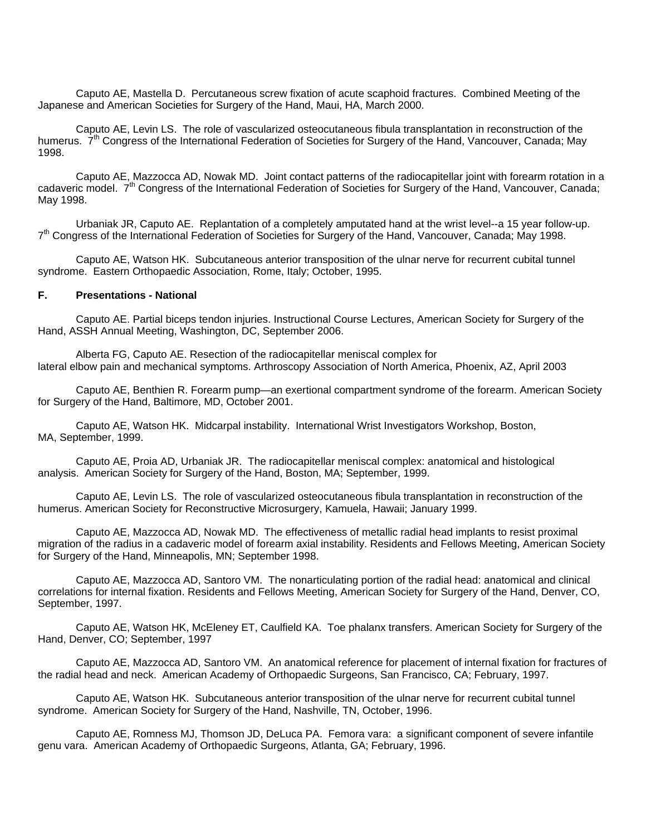Caputo AE, Mastella D. Percutaneous screw fixation of acute scaphoid fractures. Combined Meeting of the Japanese and American Societies for Surgery of the Hand, Maui, HA, March 2000.

 Caputo AE, Levin LS. The role of vascularized osteocutaneous fibula transplantation in reconstruction of the humerus.  $7<sup>th</sup>$  Congress of the International Federation of Societies for Surgery of the Hand, Vancouver, Canada; May 1998.

 Caputo AE, Mazzocca AD, Nowak MD. Joint contact patterns of the radiocapitellar joint with forearm rotation in a cadaveric model. 7<sup>th</sup> Congress of the International Federation of Societies for Surgery of the Hand, Vancouver, Canada; May 1998.

 Urbaniak JR, Caputo AE. Replantation of a completely amputated hand at the wrist level--a 15 year follow-up.  $7<sup>th</sup>$  Congress of the International Federation of Societies for Surgery of the Hand, Vancouver, Canada; May 1998.

Caputo AE, Watson HK. Subcutaneous anterior transposition of the ulnar nerve for recurrent cubital tunnel syndrome. Eastern Orthopaedic Association, Rome, Italy; October, 1995.

# **F. Presentations - National**

Caputo AE. Partial biceps tendon injuries. Instructional Course Lectures, American Society for Surgery of the Hand, ASSH Annual Meeting, Washington, DC, September 2006.

Alberta FG, Caputo AE. Resection of the radiocapitellar meniscal complex for lateral elbow pain and mechanical symptoms. Arthroscopy Association of North America, Phoenix, AZ, April 2003

Caputo AE, Benthien R. Forearm pump—an exertional compartment syndrome of the forearm. American Society for Surgery of the Hand, Baltimore, MD, October 2001.

Caputo AE, Watson HK. Midcarpal instability. International Wrist Investigators Workshop, Boston, MA, September, 1999.

Caputo AE, Proia AD, Urbaniak JR. The radiocapitellar meniscal complex: anatomical and histological analysis. American Society for Surgery of the Hand, Boston, MA; September, 1999.

Caputo AE, Levin LS. The role of vascularized osteocutaneous fibula transplantation in reconstruction of the humerus. American Society for Reconstructive Microsurgery, Kamuela, Hawaii; January 1999.

Caputo AE, Mazzocca AD, Nowak MD. The effectiveness of metallic radial head implants to resist proximal migration of the radius in a cadaveric model of forearm axial instability. Residents and Fellows Meeting, American Society for Surgery of the Hand, Minneapolis, MN; September 1998.

Caputo AE, Mazzocca AD, Santoro VM. The nonarticulating portion of the radial head: anatomical and clinical correlations for internal fixation. Residents and Fellows Meeting, American Society for Surgery of the Hand, Denver, CO, September, 1997.

 Caputo AE, Watson HK, McEleney ET, Caulfield KA. Toe phalanx transfers. American Society for Surgery of the Hand, Denver, CO; September, 1997

 Caputo AE, Mazzocca AD, Santoro VM. An anatomical reference for placement of internal fixation for fractures of the radial head and neck. American Academy of Orthopaedic Surgeons, San Francisco, CA; February, 1997.

 Caputo AE, Watson HK. Subcutaneous anterior transposition of the ulnar nerve for recurrent cubital tunnel syndrome. American Society for Surgery of the Hand, Nashville, TN, October, 1996.

 Caputo AE, Romness MJ, Thomson JD, DeLuca PA. Femora vara: a significant component of severe infantile genu vara. American Academy of Orthopaedic Surgeons, Atlanta, GA; February, 1996.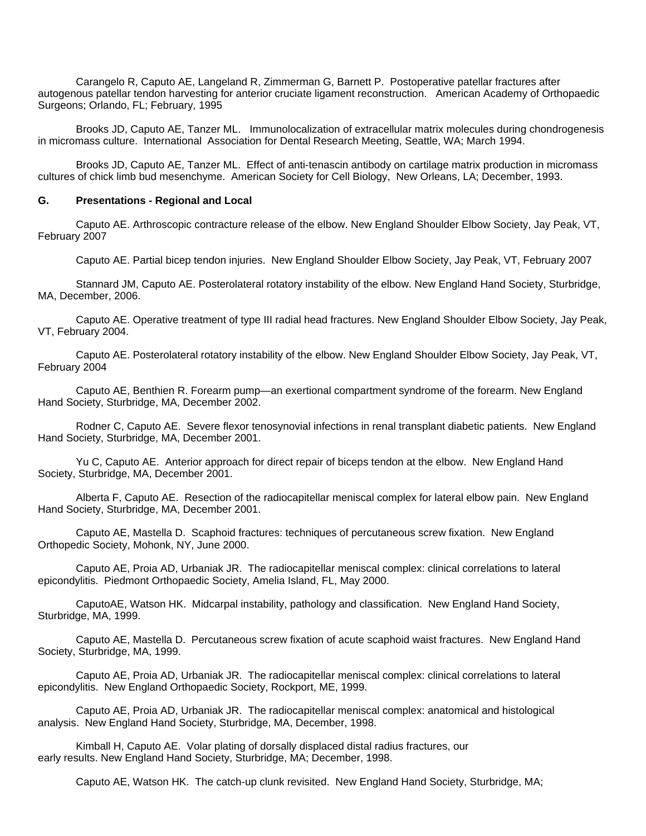Carangelo R, Caputo AE, Langeland R, Zimmerman G, Barnett P. Postoperative patellar fractures after autogenous patellar tendon harvesting for anterior cruciate ligament reconstruction. American Academy of Orthopaedic Surgeons; Orlando, FL; February, 1995

 Brooks JD, Caputo AE, Tanzer ML. Immunolocalization of extracellular matrix molecules during chondrogenesis in micromass culture. International Association for Dental Research Meeting, Seattle, WA; March 1994.

 Brooks JD, Caputo AE, Tanzer ML. Effect of anti-tenascin antibody on cartilage matrix production in micromass cultures of chick limb bud mesenchyme. American Society for Cell Biology, New Orleans, LA; December, 1993.

#### **G. Presentations - Regional and Local**

Caputo AE. Arthroscopic contracture release of the elbow. New England Shoulder Elbow Society, Jay Peak, VT, February 2007

Caputo AE. Partial bicep tendon injuries. New England Shoulder Elbow Society, Jay Peak, VT, February 2007

Stannard JM, Caputo AE. Posterolateral rotatory instability of the elbow. New England Hand Society, Sturbridge, MA, December, 2006.

Caputo AE. Operative treatment of type III radial head fractures. New England Shoulder Elbow Society, Jay Peak, VT, February 2004.

Caputo AE. Posterolateral rotatory instability of the elbow. New England Shoulder Elbow Society, Jay Peak, VT, February 2004

Caputo AE, Benthien R. Forearm pump—an exertional compartment syndrome of the forearm. New England Hand Society, Sturbridge, MA, December 2002.

Rodner C, Caputo AE. Severe flexor tenosynovial infections in renal transplant diabetic patients. New England Hand Society, Sturbridge, MA, December 2001.

Yu C, Caputo AE. Anterior approach for direct repair of biceps tendon at the elbow. New England Hand Society, Sturbridge, MA, December 2001.

Alberta F, Caputo AE. Resection of the radiocapitellar meniscal complex for lateral elbow pain. New England Hand Society, Sturbridge, MA, December 2001.

Caputo AE, Mastella D. Scaphoid fractures: techniques of percutaneous screw fixation. New England Orthopedic Society, Mohonk, NY, June 2000.

Caputo AE, Proia AD, Urbaniak JR. The radiocapitellar meniscal complex: clinical correlations to lateral epicondylitis. Piedmont Orthopaedic Society, Amelia Island, FL, May 2000.

CaputoAE, Watson HK. Midcarpal instability, pathology and classification. New England Hand Society, Sturbridge, MA, 1999.

 Caputo AE, Mastella D. Percutaneous screw fixation of acute scaphoid waist fractures. New England Hand Society, Sturbridge, MA, 1999.

Caputo AE, Proia AD, Urbaniak JR. The radiocapitellar meniscal complex: clinical correlations to lateral epicondylitis. New England Orthopaedic Society, Rockport, ME, 1999.

Caputo AE, Proia AD, Urbaniak JR. The radiocapitellar meniscal complex: anatomical and histological analysis. New England Hand Society, Sturbridge, MA, December, 1998.

Kimball H, Caputo AE. Volar plating of dorsally displaced distal radius fractures, our early results. New England Hand Society, Sturbridge, MA; December, 1998.

Caputo AE, Watson HK. The catch-up clunk revisited. New England Hand Society, Sturbridge, MA;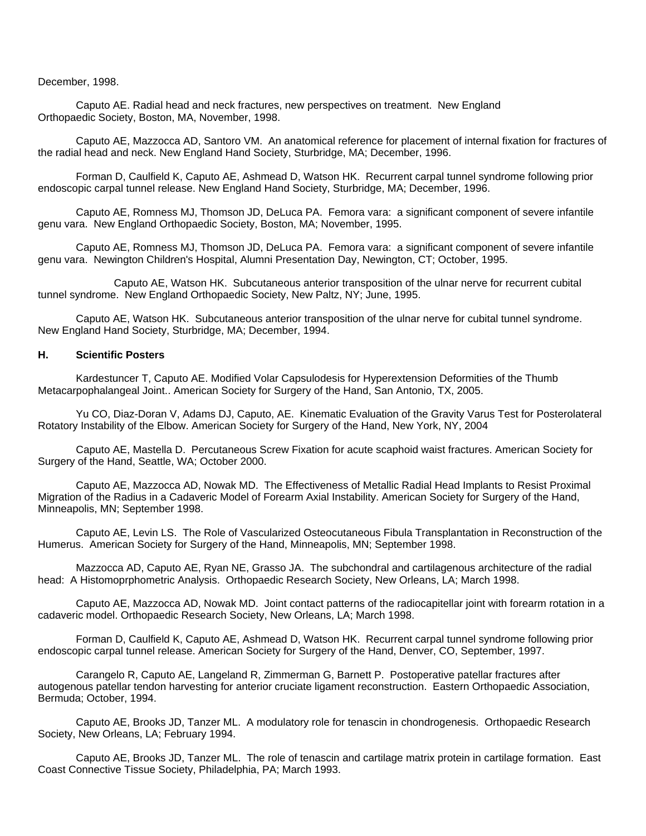December, 1998.

Caputo AE. Radial head and neck fractures, new perspectives on treatment. New England Orthopaedic Society, Boston, MA, November, 1998.

Caputo AE, Mazzocca AD, Santoro VM. An anatomical reference for placement of internal fixation for fractures of the radial head and neck. New England Hand Society, Sturbridge, MA; December, 1996.

 Forman D, Caulfield K, Caputo AE, Ashmead D, Watson HK. Recurrent carpal tunnel syndrome following prior endoscopic carpal tunnel release. New England Hand Society, Sturbridge, MA; December, 1996.

 Caputo AE, Romness MJ, Thomson JD, DeLuca PA. Femora vara: a significant component of severe infantile genu vara. New England Orthopaedic Society, Boston, MA; November, 1995.

 Caputo AE, Romness MJ, Thomson JD, DeLuca PA. Femora vara: a significant component of severe infantile genu vara. Newington Children's Hospital, Alumni Presentation Day, Newington, CT; October, 1995.

 Caputo AE, Watson HK. Subcutaneous anterior transposition of the ulnar nerve for recurrent cubital tunnel syndrome. New England Orthopaedic Society, New Paltz, NY; June, 1995.

 Caputo AE, Watson HK. Subcutaneous anterior transposition of the ulnar nerve for cubital tunnel syndrome. New England Hand Society, Sturbridge, MA; December, 1994.

## **H. Scientific Posters**

Kardestuncer T, Caputo AE. Modified Volar Capsulodesis for Hyperextension Deformities of the Thumb Metacarpophalangeal Joint.. American Society for Surgery of the Hand, San Antonio, TX, 2005.

Yu CO, Diaz-Doran V, Adams DJ, Caputo, AE. Kinematic Evaluation of the Gravity Varus Test for Posterolateral Rotatory Instability of the Elbow. American Society for Surgery of the Hand, New York, NY, 2004

Caputo AE, Mastella D. Percutaneous Screw Fixation for acute scaphoid waist fractures. American Society for Surgery of the Hand, Seattle, WA; October 2000.

Caputo AE, Mazzocca AD, Nowak MD. The Effectiveness of Metallic Radial Head Implants to Resist Proximal Migration of the Radius in a Cadaveric Model of Forearm Axial Instability. American Society for Surgery of the Hand, Minneapolis, MN; September 1998.

Caputo AE, Levin LS. The Role of Vascularized Osteocutaneous Fibula Transplantation in Reconstruction of the Humerus. American Society for Surgery of the Hand, Minneapolis, MN; September 1998.

Mazzocca AD, Caputo AE, Ryan NE, Grasso JA. The subchondral and cartilagenous architecture of the radial head: A Histomoprphometric Analysis. Orthopaedic Research Society, New Orleans, LA; March 1998.

 Caputo AE, Mazzocca AD, Nowak MD. Joint contact patterns of the radiocapitellar joint with forearm rotation in a cadaveric model. Orthopaedic Research Society, New Orleans, LA; March 1998.

 Forman D, Caulfield K, Caputo AE, Ashmead D, Watson HK. Recurrent carpal tunnel syndrome following prior endoscopic carpal tunnel release. American Society for Surgery of the Hand, Denver, CO, September, 1997.

 Carangelo R, Caputo AE, Langeland R, Zimmerman G, Barnett P. Postoperative patellar fractures after autogenous patellar tendon harvesting for anterior cruciate ligament reconstruction. Eastern Orthopaedic Association, Bermuda; October, 1994.

 Caputo AE, Brooks JD, Tanzer ML. A modulatory role for tenascin in chondrogenesis. Orthopaedic Research Society, New Orleans, LA; February 1994.

 Caputo AE, Brooks JD, Tanzer ML. The role of tenascin and cartilage matrix protein in cartilage formation. East Coast Connective Tissue Society, Philadelphia, PA; March 1993.